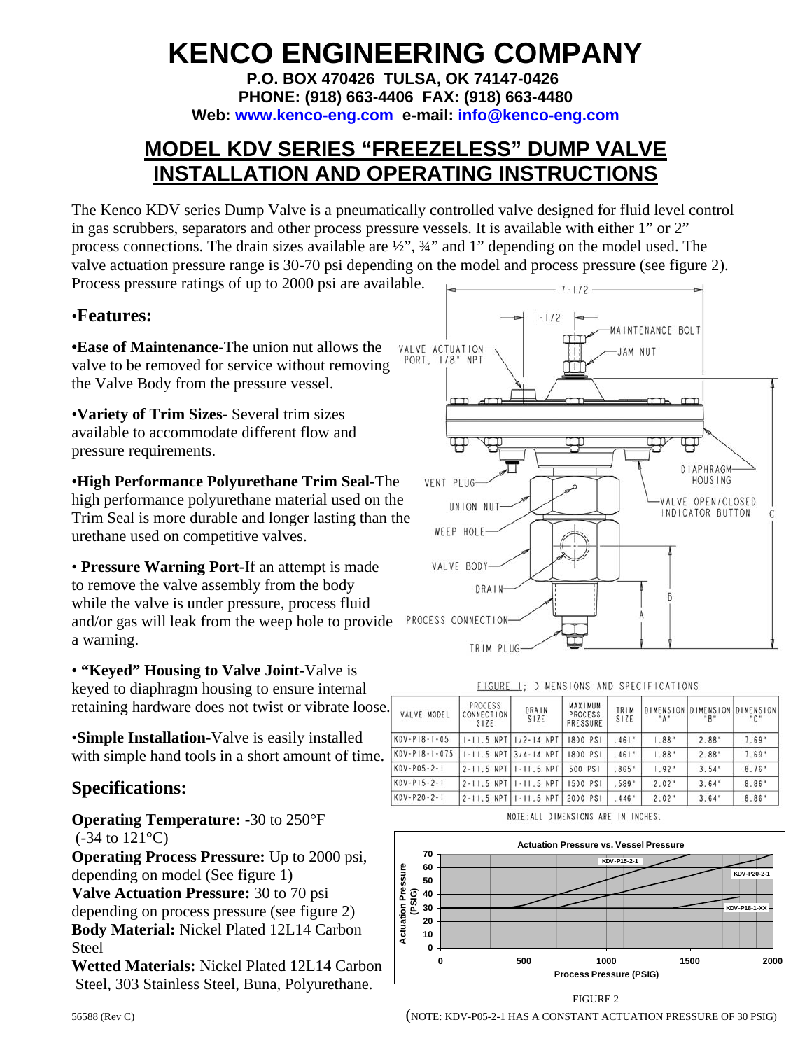# **KENCO ENGINEERING COMPANY**

**P.O. BOX 470426 TULSA, OK 74147-0426 PHONE: (918) 663-4406 FAX: (918) 663-4480 Web: www.kenco-eng.com e-mail: info@kenco-eng.com**

### **MODEL KDV SERIES "FREEZELESS" DUMP VALVE INSTALLATION AND OPERATING INSTRUCTIONS**

The Kenco KDV series Dump Valve is a pneumatically controlled valve designed for fluid level control in gas scrubbers, separators and other process pressure vessels. It is available with either 1" or 2" process connections. The drain sizes available are ½", ¾" and 1" depending on the model used. The valve actuation pressure range is 30-70 psi depending on the model and process pressure (see figure 2). Process pressure ratings of up to 2000 psi are available.

#### •**Features:**

**•Ease of Maintenance-**The union nut allows the valve to be removed for service without removing the Valve Body from the pressure vessel.

•**Variety of Trim Sizes-** Several trim sizes available to accommodate different flow and pressure requirements.

•**High Performance Polyurethane Trim Seal-**The high performance polyurethane material used on the Trim Seal is more durable and longer lasting than the urethane used on competitive valves.

• **Pressure Warning Port-**If an attempt is made to remove the valve assembly from the body while the valve is under pressure, process fluid and/or gas will leak from the weep hole to provide a warning.

• **"Keyed" Housing to Valve Joint-**Valve is keyed to diaphragm housing to ensure internal retaining hardware does not twist or vibrate loose.

•**Simple Installation-**Valve is easily installed with simple hand tools in a short amount of time.  $\frac{K}{K}$ 

#### **Specifications:**

**Operating Temperature:** -30 to 250°F (-34 to 121°C)

**Operating Process Pressure:** Up to 2000 psi, depending on model (See figure 1)

**Valve Actuation Pressure:** 30 to 70 psi

depending on process pressure (see figure 2) **Body Material:** Nickel Plated 12L14 Carbon Steel

**Wetted Materials:** Nickel Plated 12L14 Carbon Steel, 303 Stainless Steel, Buna, Polyurethane. FIGURE 2



|                      | FIGURE.                       |                               |                                       |              | DIMENSIONS AND SPECIFICATIONS |                                      |       |
|----------------------|-------------------------------|-------------------------------|---------------------------------------|--------------|-------------------------------|--------------------------------------|-------|
| VALVE MODEL          | PROCESS<br>CONNECTION<br>S1ZE | DRAIN<br>SIZE                 | <b>MAXIMUM</b><br>PROCESS<br>PRESSURE | TRIM<br>SIZE | $-A$                          | DIMENSION DIMENSION DIMENSION<br>"B" | "С"   |
| $KDV - P18 - 1 - 05$ |                               | $1 - 11.5$ NPT $1/2 - 14$ NPT | 1800 PS1                              | .461"        | 1.88"                         | $2.88*$                              | 7.69" |
| KDV-P18-1-075        |                               | $1 - 11.5$ NPT 3/4-14 NPT     | 1800 PS1                              | .461"        | 1.88"                         | 2.88"                                | 7.69" |
| $KDV - PO5 - 2 - 1$  |                               | $2 - 11.5$ NPT $1 - 11.5$ NPT | 500 PS1                               | $.865*$      | 1.92"                         | 3.54"                                | 8.76" |
| $KDV - P15 - 2 - 1$  |                               | $2 - 11.5$ NPT $1 - 11.5$ NPT | 1500 PS1                              | 589"         | 2.02"                         | 3.64"                                | 8.86" |
| $KDV - P20 - 2 - 1$  |                               | $2 - 11.5$ NPT $1 - 11.5$ NPT | 2000 PSI                              | 446*         | 2.02"                         | 3.64"                                | 8.86" |
|                      |                               |                               |                                       |              |                               |                                      |       |

NOTE: ALL DIMENSIONS ARE IN INCHES.



56588 (Rev C) (NOTE: KDV-P05-2-1 HAS A CONSTANT ACTUATION PRESSURE OF 30 PSIG)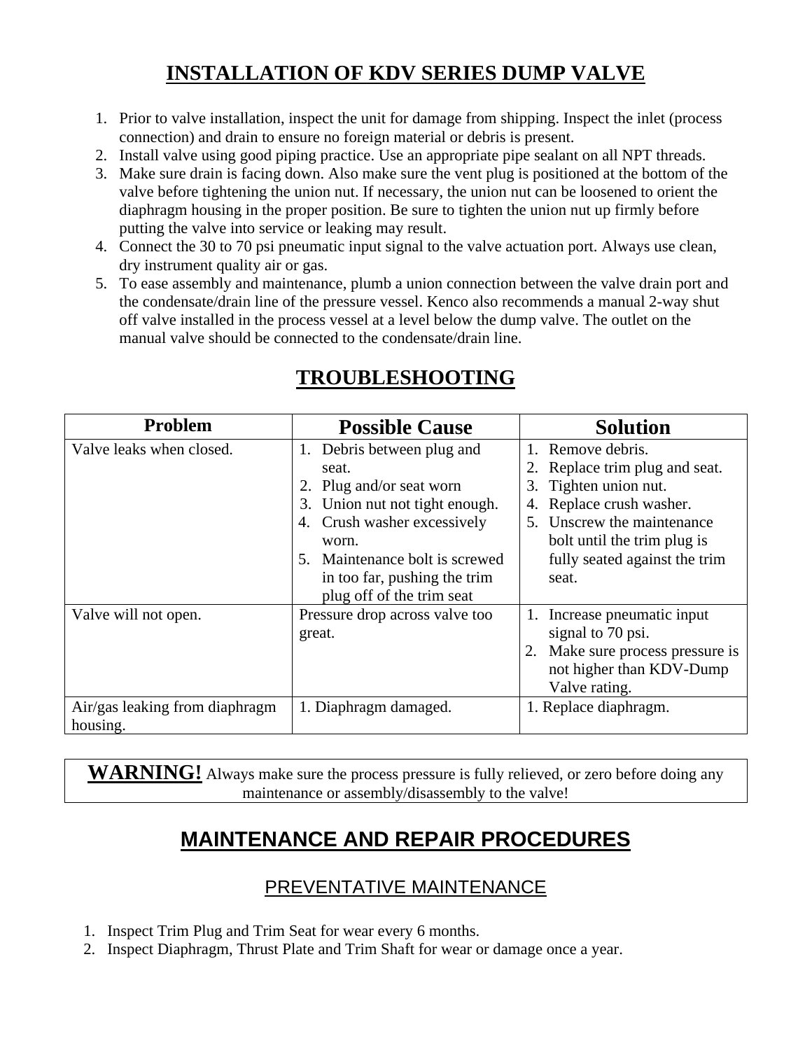### **INSTALLATION OF KDV SERIES DUMP VALVE**

- 1. Prior to valve installation, inspect the unit for damage from shipping. Inspect the inlet (process connection) and drain to ensure no foreign material or debris is present.
- 2. Install valve using good piping practice. Use an appropriate pipe sealant on all NPT threads.
- 3. Make sure drain is facing down. Also make sure the vent plug is positioned at the bottom of the valve before tightening the union nut. If necessary, the union nut can be loosened to orient the diaphragm housing in the proper position. Be sure to tighten the union nut up firmly before putting the valve into service or leaking may result.
- 4. Connect the 30 to 70 psi pneumatic input signal to the valve actuation port. Always use clean, dry instrument quality air or gas.
- 5. To ease assembly and maintenance, plumb a union connection between the valve drain port and the condensate/drain line of the pressure vessel. Kenco also recommends a manual 2-way shut off valve installed in the process vessel at a level below the dump valve. The outlet on the manual valve should be connected to the condensate/drain line.

| <b>Problem</b>                             | <b>Possible Cause</b>                                                                                                                                                                                             | <b>Solution</b>                                                                                                                                                                                                         |
|--------------------------------------------|-------------------------------------------------------------------------------------------------------------------------------------------------------------------------------------------------------------------|-------------------------------------------------------------------------------------------------------------------------------------------------------------------------------------------------------------------------|
| Valve leaks when closed.                   | Debris between plug and<br>1.<br>seat.<br>2. Plug and/or seat worn<br>3. Union nut not tight enough.<br>4. Crush washer excessively<br>worn.<br>Maintenance bolt is screwed<br>5.<br>in too far, pushing the trim | Remove debris.<br>$1_{-}$<br>2. Replace trim plug and seat.<br>3. Tighten union nut.<br>4. Replace crush washer.<br>5. Unscrew the maintenance<br>bolt until the trim plug is<br>fully seated against the trim<br>seat. |
| Valve will not open.                       | plug off of the trim seat<br>Pressure drop across valve too<br>great.                                                                                                                                             | Increase pneumatic input<br>1.<br>signal to 70 psi.<br>Make sure process pressure is<br>not higher than KDV-Dump<br>Valve rating.                                                                                       |
| Air/gas leaking from diaphragm<br>housing. | 1. Diaphragm damaged.                                                                                                                                                                                             | 1. Replace diaphragm.                                                                                                                                                                                                   |

## **TROUBLESHOOTING**

**WARNING!** Always make sure the process pressure is fully relieved, or zero before doing any maintenance or assembly/disassembly to the valve!

### **MAINTENANCE AND REPAIR PROCEDURES**

### PREVENTATIVE MAINTENANCE

- 1. Inspect Trim Plug and Trim Seat for wear every 6 months.
- 2. Inspect Diaphragm, Thrust Plate and Trim Shaft for wear or damage once a year.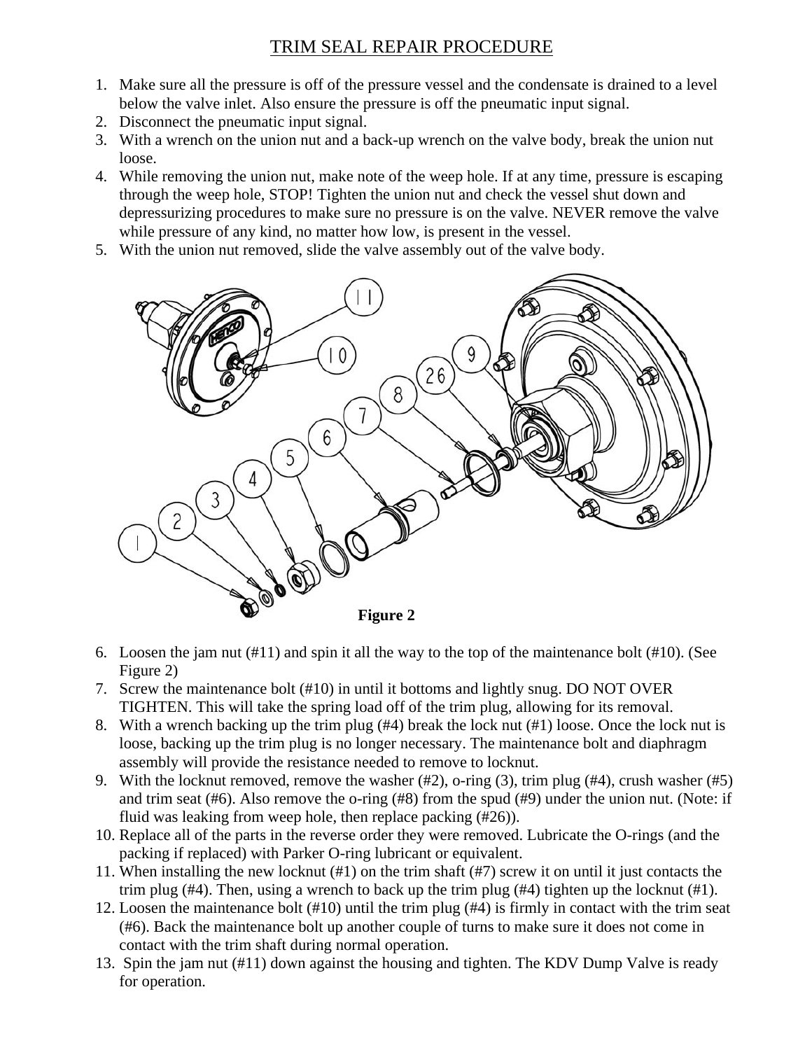#### TRIM SEAL REPAIR PROCEDURE

- 1. Make sure all the pressure is off of the pressure vessel and the condensate is drained to a level below the valve inlet. Also ensure the pressure is off the pneumatic input signal.
- 2. Disconnect the pneumatic input signal.
- 3. With a wrench on the union nut and a back-up wrench on the valve body, break the union nut loose.
- 4. While removing the union nut, make note of the weep hole. If at any time, pressure is escaping through the weep hole, STOP! Tighten the union nut and check the vessel shut down and depressurizing procedures to make sure no pressure is on the valve. NEVER remove the valve while pressure of any kind, no matter how low, is present in the vessel.
- 5. With the union nut removed, slide the valve assembly out of the valve body.



- 6. Loosen the jam nut (#11) and spin it all the way to the top of the maintenance bolt (#10). (See Figure 2)
- 7. Screw the maintenance bolt (#10) in until it bottoms and lightly snug. DO NOT OVER TIGHTEN. This will take the spring load off of the trim plug, allowing for its removal.
- 8. With a wrench backing up the trim plug (#4) break the lock nut (#1) loose. Once the lock nut is loose, backing up the trim plug is no longer necessary. The maintenance bolt and diaphragm assembly will provide the resistance needed to remove to locknut.
- 9. With the locknut removed, remove the washer (#2), o-ring (3), trim plug (#4), crush washer (#5) and trim seat (#6). Also remove the o-ring (#8) from the spud (#9) under the union nut. (Note: if fluid was leaking from weep hole, then replace packing (#26)).
- 10. Replace all of the parts in the reverse order they were removed. Lubricate the O-rings (and the packing if replaced) with Parker O-ring lubricant or equivalent.
- 11. When installing the new locknut (#1) on the trim shaft (#7) screw it on until it just contacts the trim plug (#4). Then, using a wrench to back up the trim plug (#4) tighten up the locknut (#1).
- 12. Loosen the maintenance bolt (#10) until the trim plug (#4) is firmly in contact with the trim seat (#6). Back the maintenance bolt up another couple of turns to make sure it does not come in contact with the trim shaft during normal operation.
- 13. Spin the jam nut (#11) down against the housing and tighten. The KDV Dump Valve is ready for operation.